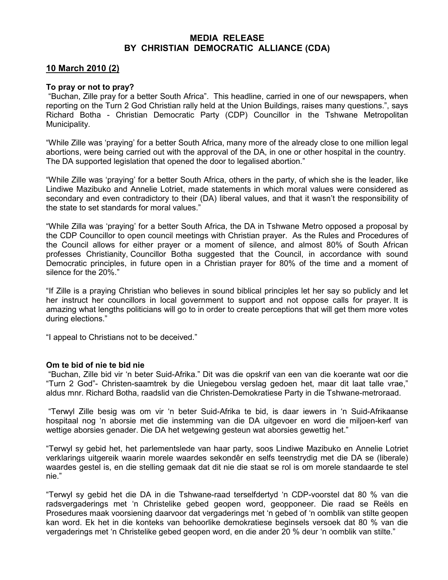## MEDIA RELEASE BY CHRISTIAN DEMOCRATIC ALLIANCE (CDA)

## 10 March 2010 (2)

## To pray or not to pray?

 "Buchan, Zille pray for a better South Africa". This headline, carried in one of our newspapers, when reporting on the Turn 2 God Christian rally held at the Union Buildings, raises many questions.", says Richard Botha - Christian Democratic Party (CDP) Councillor in the Tshwane Metropolitan Municipality.

"While Zille was 'praying' for a better South Africa, many more of the already close to one million legal abortions, were being carried out with the approval of the DA, in one or other hospital in the country. The DA supported legislation that opened the door to legalised abortion."

"While Zille was 'praying' for a better South Africa, others in the party, of which she is the leader, like Lindiwe Mazibuko and Annelie Lotriet, made statements in which moral values were considered as secondary and even contradictory to their (DA) liberal values, and that it wasn't the responsibility of the state to set standards for moral values."

"While Zilla was 'praying' for a better South Africa, the DA in Tshwane Metro opposed a proposal by the CDP Councillor to open council meetings with Christian prayer. As the Rules and Procedures of the Council allows for either prayer or a moment of silence, and almost 80% of South African professes Christianity, Councillor Botha suggested that the Council, in accordance with sound Democratic principles, in future open in a Christian prayer for 80% of the time and a moment of silence for the 20%."

"If Zille is a praying Christian who believes in sound biblical principles let her say so publicly and let her instruct her councillors in local government to support and not oppose calls for prayer. It is amazing what lengths politicians will go to in order to create perceptions that will get them more votes during elections."

"I appeal to Christians not to be deceived."

## Om te bid of nie te bid nie

 "Buchan, Zille bid vir 'n beter Suid-Afrika." Dit was die opskrif van een van die koerante wat oor die "Turn 2 God"- Christen-saamtrek by die Uniegebou verslag gedoen het, maar dit laat talle vrae," aldus mnr. Richard Botha, raadslid van die Christen-Demokratiese Party in die Tshwane-metroraad.

 "Terwyl Zille besig was om vir 'n beter Suid-Afrika te bid, is daar iewers in 'n Suid-Afrikaanse hospitaal nog 'n aborsie met die instemming van die DA uitgevoer en word die miljoen-kerf van wettige aborsies genader. Die DA het wetgewing gesteun wat aborsies gewettig het."

"Terwyl sy gebid het, het parlementslede van haar party, soos Lindiwe Mazibuko en Annelie Lotriet verklarings uitgereik waarin morele waardes sekondêr en selfs teenstrydig met die DA se (liberale) waardes gestel is, en die stelling gemaak dat dit nie die staat se rol is om morele standaarde te stel nie."

"Terwyl sy gebid het die DA in die Tshwane-raad terselfdertyd 'n CDP-voorstel dat 80 % van die radsvergaderings met 'n Christelike gebed geopen word, geopponeer. Die raad se Reëls en Prosedures maak voorsiening daarvoor dat vergaderings met 'n gebed of 'n oomblik van stilte geopen kan word. Ek het in die konteks van behoorlike demokratiese beginsels versoek dat 80 % van die vergaderings met 'n Christelike gebed geopen word, en die ander 20 % deur 'n oomblik van stilte."